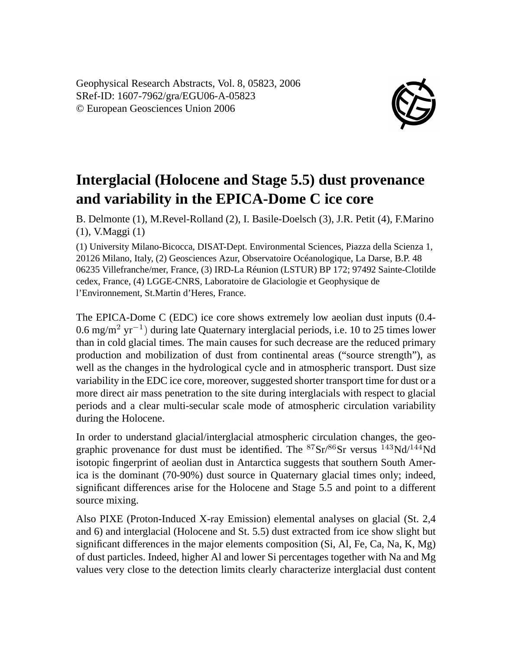Geophysical Research Abstracts, Vol. 8, 05823, 2006 SRef-ID: 1607-7962/gra/EGU06-A-05823 © European Geosciences Union 2006



## **Interglacial (Holocene and Stage 5.5) dust provenance and variability in the EPICA-Dome C ice core**

B. Delmonte (1), M.Revel-Rolland (2), I. Basile-Doelsch (3), J.R. Petit (4), F.Marino (1), V.Maggi (1)

(1) University Milano-Bicocca, DISAT-Dept. Environmental Sciences, Piazza della Scienza 1, 20126 Milano, Italy, (2) Geosciences Azur, Observatoire Océanologique, La Darse, B.P. 48 06235 Villefranche/mer, France, (3) IRD-La Réunion (LSTUR) BP 172; 97492 Sainte-Clotilde cedex, France, (4) LGGE-CNRS, Laboratoire de Glaciologie et Geophysique de l'Environnement, St.Martin d'Heres, France.

The EPICA-Dome C (EDC) ice core shows extremely low aeolian dust inputs (0.4- 0.6 mg/m<sup>2</sup> yr<sup>-1</sup>) during late Quaternary interglacial periods, i.e. 10 to 25 times lower than in cold glacial times. The main causes for such decrease are the reduced primary production and mobilization of dust from continental areas ("source strength"), as well as the changes in the hydrological cycle and in atmospheric transport. Dust size variability in the EDC ice core, moreover, suggested shorter transport time for dust or a more direct air mass penetration to the site during interglacials with respect to glacial periods and a clear multi-secular scale mode of atmospheric circulation variability during the Holocene.

In order to understand glacial/interglacial atmospheric circulation changes, the geographic provenance for dust must be identified. The  ${}^{87}Sr/{}^{86}Sr$  versus  ${}^{143}Nd/{}^{144}Nd$ isotopic fingerprint of aeolian dust in Antarctica suggests that southern South America is the dominant (70-90%) dust source in Quaternary glacial times only; indeed, significant differences arise for the Holocene and Stage 5.5 and point to a different source mixing.

Also PIXE (Proton-Induced X-ray Emission) elemental analyses on glacial (St. 2,4 and 6) and interglacial (Holocene and St. 5.5) dust extracted from ice show slight but significant differences in the major elements composition (Si, Al, Fe, Ca, Na, K, Mg) of dust particles. Indeed, higher Al and lower Si percentages together with Na and Mg values very close to the detection limits clearly characterize interglacial dust content